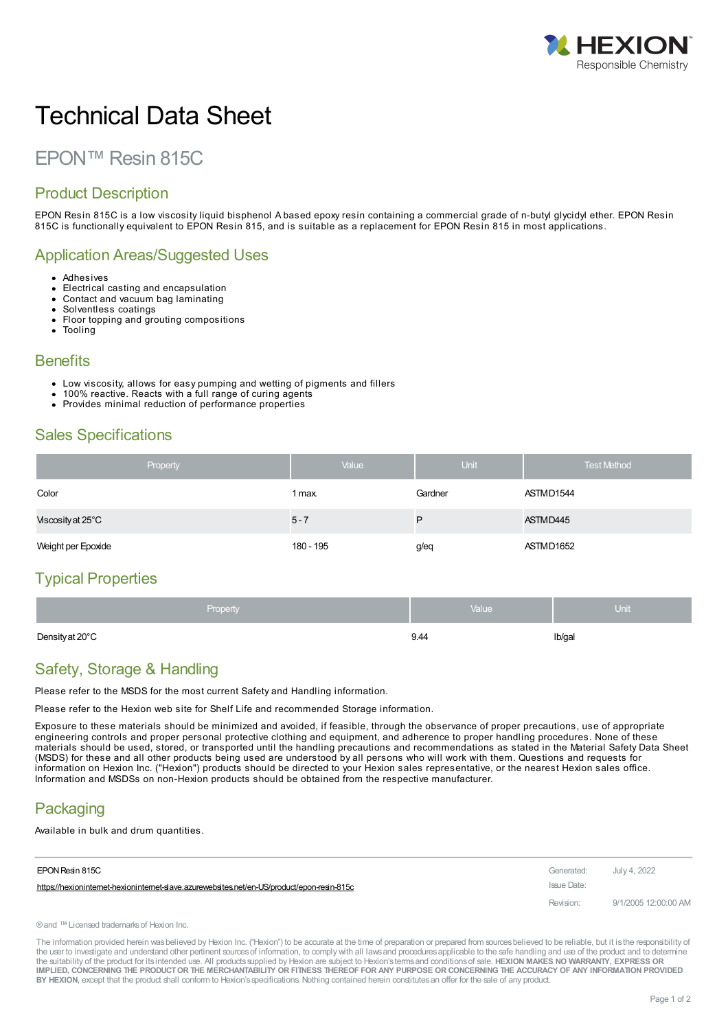

# Technical Data Sheet

# EPON™ Resin 815C

#### Product Description

EPON Resin 815C is a low viscosity liquid bisphenol A based epoxy resin containing a commercial grade of n-butyl glycidyl ether. EPON Resin 815C is functionally equivalent to EPON Resin 815, and is suitable as a replacement for EPON Resin 815 in most applications.

#### Application Areas/Suggested Uses

- Adhesives
- Electrical casting and encapsulation Contact and vacuum bag laminating
- Solventless coatings
- Floor topping and grouting compositions
- Tooling

#### **Benefits**

- Low viscosity, allows for easy pumping and wetting of pigments and fillers
- 100% reactive. Reacts with a full range of curing agents
- Provides minimal reduction of performance properties

#### Sales Specifications

| Property           | Value     | Unit    | <b>Test Method</b> |
|--------------------|-----------|---------|--------------------|
| Color              | 1 max.    | Gardner | ASTMD1544          |
| Viscosity at 25°C  | $5 - 7$   | P       | ASTMD445           |
| Weight per Epoxide | 180 - 195 | g/eq    | ASTMD1652          |

## Typical Properties

| <b>Property</b> | Nalue <sup>1</sup> | Unit   |
|-----------------|--------------------|--------|
| Density at 20°C | 9.44               | Ib/gal |

## Safety, Storage & Handling

Please refer to the MSDS for the most current Safety and Handling information.

Please refer to the Hexion web site for Shelf Life and recommended Storage information.

Exposure to these materials should be minimized and avoided, if feasible, through the observance of proper precautions, use of appropriate engineering controls and proper personal protective clothing and equipment, and adherence to proper handling procedures. None of these materials should be used, stored, or transported until the handling precautions and recommendations as stated in the Material Safety Data Sheet (MSDS) for these and all other products being used are understood by all persons who will work with them. Questions and requests for information on Hexion Inc. ("Hexion") products should be directed to your Hexion sales representative, or the nearest Hexion sales office. Information and MSDSs on non-Hexion products should be obtained from the respective manufacturer.

## **Packaging**

Available in bulk and drum quantities.

| EPON Resin 815C                                                                           | Generated:  | July 4, 2022         |
|-------------------------------------------------------------------------------------------|-------------|----------------------|
| https://hexionintemet-hexionintemet-slave.azurewebsites.net/en-US/product/epon-resin-815c | Issue Date: |                      |
|                                                                                           | Revision:   | 9/1/2005 12:00:00 AM |

®and ™Licensed trademarksof Hexion Inc.

The information provided herein was believed by Hexion Inc. ("Hexion") to be accurate at the time of preparation or prepared from sources believed to be reliable, but it is the responsibility of the user to investigate and understand other pertinent sources of information, to comply with all laws and procedures applicable to the safe handling and use of the product and to determine the suitability of the product for itsintended use. All productssupplied by Hexion are subject to Hexion'stermsand conditionsof sale. **HEXION MAKES NO WARRANTY, EXPRESS OR** IMPLIED, CONCERNING THE PRODUCT OR THE MERCHANTABILITY OR FITNESS THEREOF FOR ANY PURPOSE OR CONCERNING THE ACCURACY OF ANY INFORMATION PROVIDED **BY HEXION**, except that the product shall conform to Hexion'sspecifications. Nothing contained herein constitutesan offer for the sale of any product.